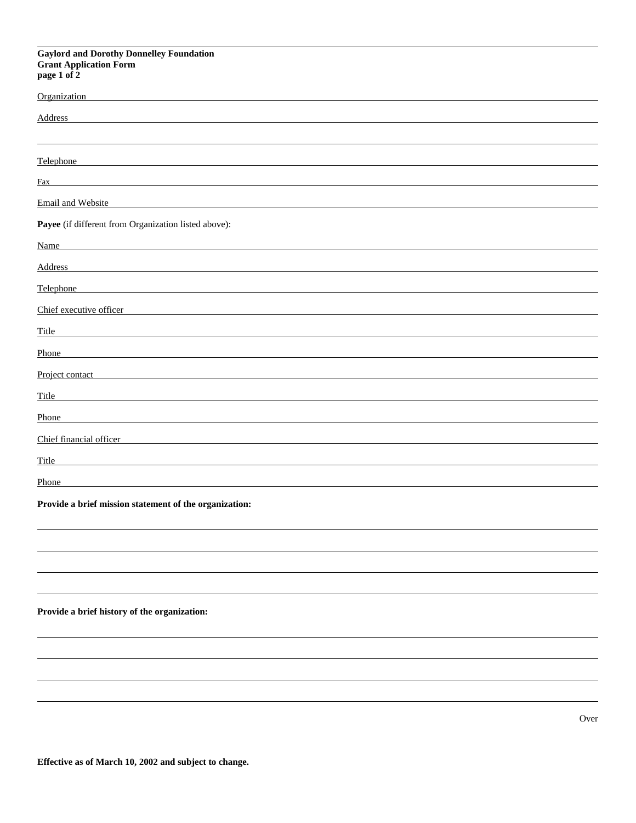# **Gaylord and Dorothy Donnelley Foundation Grant Application Form page 1 of 2**

| Organization                                         |
|------------------------------------------------------|
| <b>Address</b>                                       |
|                                                      |
| Telephone                                            |
| Fax                                                  |
| Email and Website                                    |
| Payee (if different from Organization listed above): |
| Name                                                 |
| Address                                              |
| Telephone                                            |
| Chief executive officer                              |
| Title                                                |
| Phone                                                |
| Project contact                                      |
| Title                                                |
| Phone                                                |
| Chief financial officer                              |
| Title                                                |
| Phone                                                |
|                                                      |

**Provide a brief mission statement of the organization:**

# **Provide a brief history of the organization:**